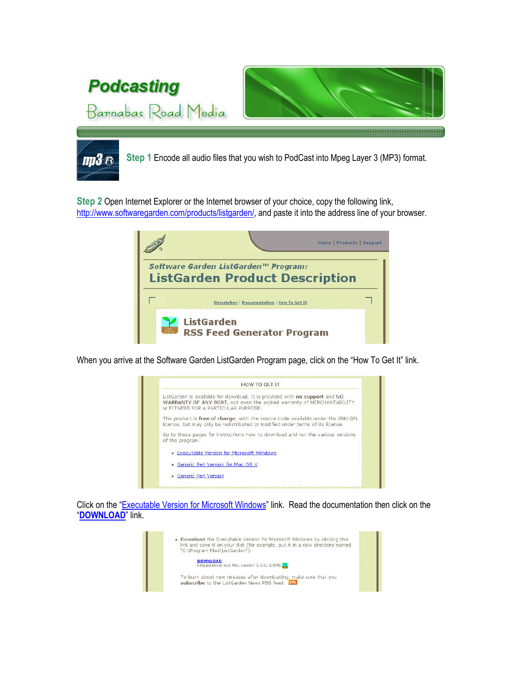

Step 2 Open Internet Explorer or the Internet browser of your choice, copy the following link, http://www.softwaregarden.com/products/listgarden/, and paste it into the address line of your browser.



When you arrive at the Software Garden ListGarden Program page, click on the "How To Get It" link.



Click on the "Executable Version for Microsoft Windows" link. Read the documentation then click on the "DOWNLOAD" link.

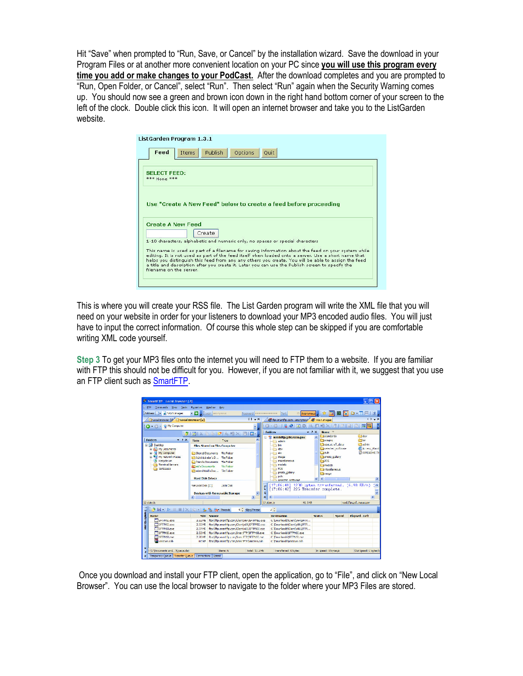Hit "Save" when prompted to "Run, Save, or Cancel" by the installation wizard. Save the download in your Program Files or at another more convenient location on your PC since you will use this program every time you add or make changes to your PodCast. After the download completes and you are prompted to "Run, Open Folder, or Cancel", select "Run". Then select "Run" again when the Security Warning comes up. You should now see a green and brown icon down in the right hand bottom corner of your screen to the left of the clock. Double click this icon. It will open an internet browser and take you to the ListGarden website.

| Feed                                       | <b>Publish</b><br>Options<br>Items<br>Quit                                    |
|--------------------------------------------|-------------------------------------------------------------------------------|
| <b>SELECT FEED:</b><br><b>*** None ***</b> |                                                                               |
|                                            |                                                                               |
|                                            | Use "Create A New Feed" below to create a feed before proceeding              |
|                                            | <b>Create A New Feed</b>                                                      |
|                                            | Create                                                                        |
|                                            | 1-10 characters, alphabetic and numeric only, no spaces or special characters |

This is where you will create your RSS file. The List Garden program will write the XML file that you will need on your website in order for your listeners to download your MP3 encoded audio files. You will just have to input the correct information. Of course this whole step can be skipped if you are comfortable writing XML code yourself.

Step 3 To get your MP3 files onto the internet you will need to FTP them to a website. If you are familiar with FTP this should not be difficult for you. However, if you are not familiar with it, we suggest that you use an FTP client such as **SmartFTP**.

|                                            | SmartFTP Local Browser [2]                                                                                  |                                       |                                                      |                                                |                                |                          | - 10                                                |                |
|--------------------------------------------|-------------------------------------------------------------------------------------------------------------|---------------------------------------|------------------------------------------------------|------------------------------------------------|--------------------------------|--------------------------|-----------------------------------------------------|----------------|
| ETP Ommands Yew Tonis Eavorites Window     |                                                                                                             | Hein                                  |                                                      |                                                |                                |                          |                                                     |                |
| Address   a VASA Images                    | - De Logn anonymous                                                                                         |                                       | Password                                             | <b>Dort</b>                                    |                                |                          | 21 Anonymous 日 女   厅   题   <mark>管</mark>   臼 - 丁 円 | $\overline{2}$ |
| Local Browser [1] Local Browser [2]        |                                                                                                             |                                       | $1b - x$                                             | of tp.cmartfip.com - anonymour of VASA Images  |                                |                          |                                                     | $4 + 4$        |
| <b>C - C - D</b> My Computer               |                                                                                                             |                                       |                                                      |                                                |                                |                          |                                                     |                |
|                                            |                                                                                                             | BIXPAIDESEIX FIEL                     |                                                      | Folders                                        | $-7x$<br><b>Name</b>           |                          |                                                     |                |
|                                            |                                                                                                             |                                       |                                                      | R assicita.astc.nasa.gov                       | abrebnete <sup>2</sup>         |                          | <b><i><u>Philoy</u></i></b>                         |                |
| : Folders<br>$-7.8$                        | Name                                                                                                        | Type                                  |                                                      | admin                                          | <b>Staging</b>                 |                          | <b>Pable</b>                                        |                |
| <b>E Decktop</b>                           |                                                                                                             | Files Stored on This Computer         |                                                      | bn                                             |                                | Spaceburg Collado        | <b>Chadrin</b>                                      |                |
| iii is I My Documents                      |                                                                                                             |                                       |                                                      | $\mapsto$ day                                  |                                | <b>Executed Software</b> | Acres Wam                                           |                |
| My Computer                                | Chi Shared Documents File Folder                                                                            |                                       |                                                      | etc                                            | Cloud                          |                          | C 00READVE.D                                        |                |
| <b>ALL ALL HIV Network Paces</b>           | Chadmistrator's D.J. Fle Fokler                                                                             |                                       |                                                      | mage<br>mscelaneous                            |                                | proto callery            |                                                     |                |
| M Racyde Ein<br><b>Ca</b> Terminal Servers | in friends Documents File Folder                                                                            |                                       |                                                      | models                                         | <b>Capas</b><br><b>Parodch</b> |                          |                                                     |                |
| <b>Ca</b> testagaga                        | <b>Stimb's Documents</b><br><b>File Folder</b><br>Comberchtold's Doc File Folder<br><b>Hard Disk Drives</b> |                                       | <b>PCS</b>                                           |                                                | <b>El viscelaneo</b> is        |                          |                                                     |                |
|                                            |                                                                                                             |                                       | photo callery                                        | <b>Camauz</b>                                  |                                |                          |                                                     |                |
|                                            |                                                                                                             |                                       |                                                      | <b>Control</b>                                 |                                |                          |                                                     |                |
|                                            |                                                                                                             |                                       |                                                      |                                                | $\leq$                         |                          |                                                     | $\,$           |
|                                            |                                                                                                             |                                       |                                                      | seected software                               |                                |                          |                                                     |                |
|                                            | Kin Local Disk (Cr)                                                                                         | Local Clok                            |                                                      | [17:06:41] 1200 bytes transferred, (6.90 KD/s) |                                |                          |                                                     |                |
|                                            |                                                                                                             |                                       |                                                      | [17:06:42] 225 Transfer complete.              |                                |                          |                                                     |                |
|                                            |                                                                                                             | <b>Devices with Removable Storage</b> | $\overline{P}$                                       |                                                |                                |                          |                                                     |                |
|                                            | $-10$                                                                                                       |                                       | $\rightarrow$<br>$\mathbf{x}$                        | $\left  \cdot \right $<br>$\mathbf{m}$         |                                |                          |                                                     | $\rightarrow$  |
| 12 objects                                 |                                                                                                             |                                       |                                                      | 17 objects<br>41.3 KB                          |                                |                          | issuffluarsfundsd.uuv                               |                |
| BH ID III IX IS + B & Sor Threads          |                                                                                                             |                                       | 4 Gos/Thread                                         | o p                                            |                                |                          |                                                     |                |
| <b>Name</b>                                | <b>Stre</b>                                                                                                 | Source                                |                                                      | <b>Destination</b>                             | <b>Status</b>                  | <b>Speed</b>             | Flansed - Left                                      |                |
| <b>TISHIPMSLexe</b>                        | 3.32 MB                                                                                                     |                                       | fto://ftp.cmartftp.com/Clent/x64/5HIPMS1.exe         | C: Downloads\Ciently64(SHTP                    |                                |                          |                                                     |                |
| SETTMSLexe                                 |                                                                                                             |                                       | 2.72 ME ftp://ftp.amprt/tp.com/Clont/x86/SFTPMSI.exc | C: Downloads\Cient'x86\SFTP                    |                                |                          |                                                     |                |
| Transfer Queue<br>SETPNSLexe               | 2.37 ME                                                                                                     |                                       | ftp://ftp.smarthb.com/Clent/xGC/SFTPN3Lexe           | C: Downloads\Cient x86 SETP                    |                                |                          |                                                     |                |
| SETPMSLexe                                 | 2.53 MB                                                                                                     |                                       | ftp://ftp.smarthb.com/SmartTP/SETPMSI.exe            | C: Downloads\SFTPMSI.exe                       |                                |                          |                                                     |                |
| SETPNS1.exe                                | 2.20ME                                                                                                      |                                       | floc//flo.smattho.com/Sexa ETP/SETP/\ST.exe-         | C: Townloads\SETPNS1.exe                       |                                |                          |                                                     |                |
| <b>Buncows</b> cab                         | 107 KB                                                                                                      |                                       | fth://ftn.smartfin.com/SmartFTP/junktows.cah         | C: 'Downloads'unicows.cab                      |                                |                          |                                                     | f w            |

 Once you download and install your FTP client, open the application, go to "File", and click on "New Local Browser". You can use the local browser to navigate to the folder where your MP3 Files are stored.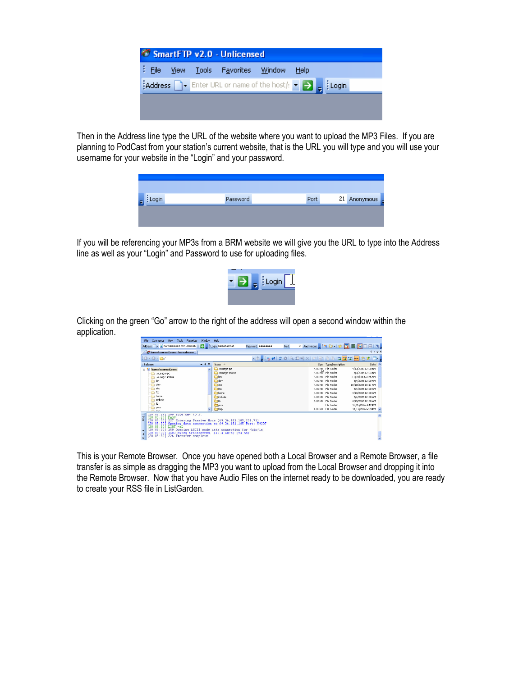

Then in the Address line type the URL of the website where you want to upload the MP3 Files. If you are planning to PodCast from your station's current website, that is the URL you will type and you will use your username for your website in the "Login" and your password.

| Password | Port | 21 Anonymous |
|----------|------|--------------|
|          |      |              |
|          |      |              |

If you will be referencing your MP3s from a BRM website we will give you the URL to type into the Address line as well as your "Login" and Password to use for uploading files.



Clicking on the green "Go" arrow to the right of the address will open a second window within the application.

| <b>Tools</b><br>Commands<br>Favorites<br>Window.<br>File<br>View                                                                                                                                                                                                                                                                            | Help                                                                                                                 |                   |      |                                                                                                                                                                                                                                                   |                                                                                                                                                                                                                       |  |
|---------------------------------------------------------------------------------------------------------------------------------------------------------------------------------------------------------------------------------------------------------------------------------------------------------------------------------------------|----------------------------------------------------------------------------------------------------------------------|-------------------|------|---------------------------------------------------------------------------------------------------------------------------------------------------------------------------------------------------------------------------------------------------|-----------------------------------------------------------------------------------------------------------------------------------------------------------------------------------------------------------------------|--|
| Address   v a barnabasroad.com - barnab v   j   Login barnabasroad                                                                                                                                                                                                                                                                          |                                                                                                                      | Password ******** | Port |                                                                                                                                                                                                                                                   | 21 Anonymous 2 3 公   女   宜 國 <mark>公</mark> □ 日   2                                                                                                                                                                   |  |
| barnabasroad.com - barnabasro                                                                                                                                                                                                                                                                                                               |                                                                                                                      |                   |      |                                                                                                                                                                                                                                                   | $4P-X$                                                                                                                                                                                                                |  |
| $10 - 0 - 01$                                                                                                                                                                                                                                                                                                                               |                                                                                                                      |                   |      | · 2. 148 20 3 9 3 2 2 2 2 8 8 8 9 3 4                                                                                                                                                                                                             | 四十<br><b>PASY</b>                                                                                                                                                                                                     |  |
| $-4x$<br><b>Folders</b>                                                                                                                                                                                                                                                                                                                     | Name -                                                                                                               |                   |      | Type/Description<br>Size                                                                                                                                                                                                                          | Date                                                                                                                                                                                                                  |  |
| barnabasroad.com<br>×<br>Ξ<br>.wusage-ipc<br>.wusage-status<br>bin<br>dev<br>etc<br>ftp<br>home<br>include<br>Ib.<br>proc                                                                                                                                                                                                                   | : wusage-ipc<br>-wusage-status<br><b>Cabin</b><br>dev<br><b>Ca</b> etc<br><b>Oftp</b><br>home<br>moude<br>ÒЮ<br>proc |                   |      | 4.00 KR File Folder<br>4.00 KB File Folder<br>4.00 KB File Folder<br>4.00 KB File Enlder<br>4.00 KB File Folder<br>4.00 KB File Folder<br>4.00 KB File Folder<br>4.00 KB File Folder<br>8.00 KB File Folder<br>File Folder<br>4.00 KB File Folder | 4/13/2006 12:00 AM<br>6/3/2006 12:03 AM<br>10/15/2006 3:36 AM<br>5/4/2005 12:00 AM<br>10/10/2006 10:11 AM<br>5/4/2005 12:00 AM<br>4/13/2006 12:00 AM<br>5/4/2005 12:00 AM<br>4/13/2006 12:00 AM<br>10/28/2006 4:12 PM |  |
| here.<br>200 lype set to A.<br>20109129                                                                                                                                                                                                                                                                                                     | tmp tmp                                                                                                              |                   |      |                                                                                                                                                                                                                                                   | 11/17/2006 6:09 PM ~                                                                                                                                                                                                  |  |
| 58<br>PASY<br>f 20:09:291<br>120:09:301<br>227 Entering Passive Mode (69, 36, 181, 185, 231, 71)<br>Opening data connection to 69.36.181.185 Port: 59207<br>120:09:301<br>120:09:301<br>$LIST - aL$<br>ř 20 : 09 : 30 î<br>150 Opening ASCII mode data connection for /bin/ls.<br>120:09:301<br>1483 bytes transferred. (15.4 KB/s) (94 as) |                                                                                                                      |                   |      |                                                                                                                                                                                                                                                   |                                                                                                                                                                                                                       |  |
| [20:09:30] 226 Transfer complete.<br>×                                                                                                                                                                                                                                                                                                      |                                                                                                                      |                   |      |                                                                                                                                                                                                                                                   |                                                                                                                                                                                                                       |  |

This is your Remote Browser. Once you have opened both a Local Browser and a Remote Browser, a file transfer is as simple as dragging the MP3 you want to upload from the Local Browser and dropping it into the Remote Browser. Now that you have Audio Files on the internet ready to be downloaded, you are ready to create your RSS file in ListGarden.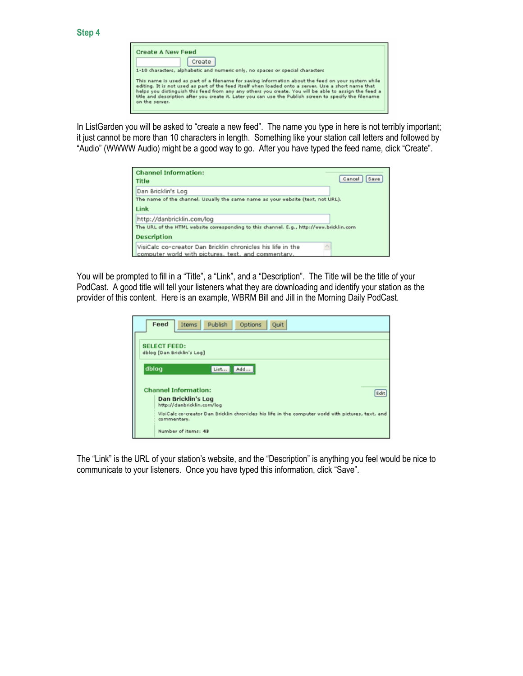In ListGarden you will be asked to "create a new feed". The name you type in here is not terribly important; it just cannot be more than 10 characters in length. Something like your station call letters and followed by "Audio" (WWWW Audio) might be a good way to go. After you have typed the feed name, click "Create".

| <b>Channel Information:</b><br><b>Title</b>                                                                                                  | Cancel<br>Save |
|----------------------------------------------------------------------------------------------------------------------------------------------|----------------|
| Dan Bricklin's Log                                                                                                                           |                |
| The name of the channel. Usually the same name as your website (text, not URL).<br>Link                                                      |                |
| http://danbricklin.com/log<br>The URL of the HTML vebsite corresponding to this channel. E.g., http://www.bricklin.com<br><b>Description</b> |                |
| VisiCalc co-creator Dan Bricklin chronicles his life in the<br>computer world with pictures, text, and commentary.                           |                |

You will be prompted to fill in a "Title", a "Link", and a "Description". The Title will be the title of your PodCast. A good title will tell your listeners what they are downloading and identify your station as the provider of this content. Here is an example, WBRM Bill and Jill in the Morning Daily PodCast.

|       | Feed<br>Publish<br>Options<br>Quit<br>Items                                                                       |
|-------|-------------------------------------------------------------------------------------------------------------------|
|       | <b>SELECT FEED:</b><br>dblog [Dan Bricklin's Log]                                                                 |
| dblog | Add<br>List                                                                                                       |
|       | <b>Channel Information:</b><br>Edit                                                                               |
|       | Dan Bricklin's Log<br>http://danbricklin.com/log                                                                  |
|       | VisiCalc co-creator Dan Bricklin chronides his life in the computer world with pictures, text, and<br>commentary. |
|       | Number of items: 43                                                                                               |

The "Link" is the URL of your station's website, and the "Description" is anything you feel would be nice to communicate to your listeners. Once you have typed this information, click "Save".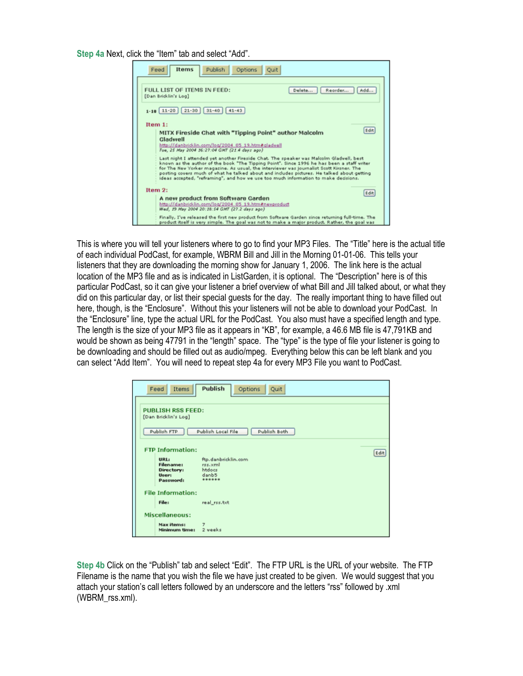Step 4a Next, click the "Item" tab and select "Add".

| Options<br><b>Items</b><br>Publish<br>Fead<br><b>Ouit</b>                                                                                                                                                                                                                                                                                                                                                                                                             |  |  |  |  |
|-----------------------------------------------------------------------------------------------------------------------------------------------------------------------------------------------------------------------------------------------------------------------------------------------------------------------------------------------------------------------------------------------------------------------------------------------------------------------|--|--|--|--|
| FULL LIST OF ITEMS IN FEED:<br>Reorder<br>Delete<br>Add<br>[Dan Bricklin's Log]                                                                                                                                                                                                                                                                                                                                                                                       |  |  |  |  |
| $1-10$   11-20   21-30   31-40   41-43                                                                                                                                                                                                                                                                                                                                                                                                                                |  |  |  |  |
| Item $1$ :<br>Edit<br>MITX Fireside Chat with "Tipping Point" author Malcolm<br>Gladwell<br>http://danbricklin.com/log/2004 05 19.htm#gladvell<br>Tue, 25 May 2004 16:27:04 GMT (21.4 days ago)                                                                                                                                                                                                                                                                       |  |  |  |  |
| Last night I attended yet another Fireside Chat. The speaker was Malcolm Gladvell, best<br>known as the author of the book "The Tipping Point". Since 1996 he has been a staff writer<br>for The New Yorker magazine. As usual, the interviewer was journalist Scott Kirsner. The<br>posting covers much of what he talked about and indudes pictures. He talked about getting<br>ideas accepted, "reframing", and how we use too much information to make decisions. |  |  |  |  |
| Item $2:$<br>Edit                                                                                                                                                                                                                                                                                                                                                                                                                                                     |  |  |  |  |
| A new product from Software Garden<br>http://danbricklin.com/log/2004 05 19.htm#nevproduct<br>Wed, 19 May 2004 20:18:54 GMT (27.2 days ago)                                                                                                                                                                                                                                                                                                                           |  |  |  |  |
| Finally, I've released the first new product from Software Garden since returning full-time. The<br>product itself is very simple. The goal was not to make a major product. Rather, the goal was                                                                                                                                                                                                                                                                     |  |  |  |  |

This is where you will tell your listeners where to go to find your MP3 Files. The "Title" here is the actual title of each individual PodCast, for example, WBRM Bill and Jill in the Morning 01-01-06. This tells your listeners that they are downloading the morning show for January 1, 2006. The link here is the actual location of the MP3 file and as is indicated in ListGarden, it is optional. The "Description" here is of this particular PodCast, so it can give your listener a brief overview of what Bill and Jill talked about, or what they did on this particular day, or list their special guests for the day. The really important thing to have filled out here, though, is the "Enclosure". Without this your listeners will not be able to download your PodCast. In the "Enclosure" line, type the actual URL for the PodCast. You also must have a specified length and type. The length is the size of your MP3 file as it appears in "KB", for example, a 46.6 MB file is 47,791KB and would be shown as being 47791 in the "length" space. The "type" is the type of file your listener is going to be downloading and should be filled out as audio/mpeg. Everything below this can be left blank and you can select "Add Item". You will need to repeat step 4a for every MP3 File you want to PodCast.

| Feed<br>Items                      | Publish<br>Options<br>Quit         |  |  |  |
|------------------------------------|------------------------------------|--|--|--|
| <b>PUBLISH RSS FEED:</b>           |                                    |  |  |  |
| [Dan Bricklin's Log]               |                                    |  |  |  |
| Publish FTP                        | Publish Local File<br>Publish Both |  |  |  |
| <b>FTP Information:</b>            |                                    |  |  |  |
| URL:                               | Edit<br>ftp.danbricklin.com        |  |  |  |
| <b>Filename:</b><br>Directory:     | res.xml<br>htdocs                  |  |  |  |
| <b>User:</b><br>Password           | danb5<br>******                    |  |  |  |
|                                    |                                    |  |  |  |
| <b>File Information:</b>           |                                    |  |  |  |
| File:                              | real_rss.txt                       |  |  |  |
| Miscellaneous:                     |                                    |  |  |  |
| <b>Max items:</b><br>Minimum time: | ⇁<br>2 veeks                       |  |  |  |

Step 4b Click on the "Publish" tab and select "Edit". The FTP URL is the URL of your website. The FTP Filename is the name that you wish the file we have just created to be given. We would suggest that you attach your station's call letters followed by an underscore and the letters "rss" followed by .xml (WBRM\_rss.xml).